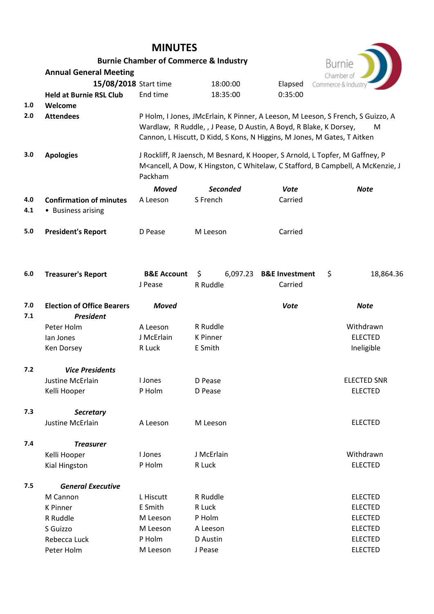|         | <b>Burnie Chamber of Commerce &amp; Industry</b> |                                                                              | Burnie                                                                   |                           |                                                                                                                                |  |  |  |
|---------|--------------------------------------------------|------------------------------------------------------------------------------|--------------------------------------------------------------------------|---------------------------|--------------------------------------------------------------------------------------------------------------------------------|--|--|--|
|         | <b>Annual General Meeting</b>                    |                                                                              |                                                                          |                           | Chamber of                                                                                                                     |  |  |  |
|         | 15/08/2018 Start time                            |                                                                              | 18:00:00                                                                 | Elapsed                   | Commerce & Industry                                                                                                            |  |  |  |
|         | <b>Held at Burnie RSL Club</b>                   | End time                                                                     | 18:35:00                                                                 | 0:35:00                   |                                                                                                                                |  |  |  |
| $1.0\,$ | Welcome                                          |                                                                              |                                                                          |                           |                                                                                                                                |  |  |  |
| 2.0     | <b>Attendees</b>                                 |                                                                              |                                                                          |                           | P Holm, I Jones, JMcErlain, K Pinner, A Leeson, M Leeson, S French, S Guizzo, A                                                |  |  |  |
|         |                                                  |                                                                              | Wardlaw, R Ruddle, , J Pease, D Austin, A Boyd, R Blake, K Dorsey,       |                           | M                                                                                                                              |  |  |  |
|         |                                                  |                                                                              | Cannon, L Hiscutt, D Kidd, S Kons, N Higgins, M Jones, M Gates, T Aitken |                           |                                                                                                                                |  |  |  |
| 3.0     | <b>Apologies</b>                                 | J Rockliff, R Jaensch, M Besnard, K Hooper, S Arnold, L Topfer, M Gaffney, P |                                                                          |                           |                                                                                                                                |  |  |  |
|         |                                                  |                                                                              |                                                                          |                           | M <ancell, a="" b="" c="" campbell,="" dow,="" hingston,="" j<="" k="" mckenzie,="" stafford,="" th="" whitelaw,=""></ancell,> |  |  |  |
|         |                                                  | Packham                                                                      |                                                                          |                           |                                                                                                                                |  |  |  |
|         |                                                  | <b>Moved</b>                                                                 | <b>Seconded</b>                                                          | <b>Vote</b>               | <b>Note</b>                                                                                                                    |  |  |  |
| 4.0     | <b>Confirmation of minutes</b>                   | A Leeson                                                                     | S French                                                                 | Carried                   |                                                                                                                                |  |  |  |
| 4.1     | • Business arising                               |                                                                              |                                                                          |                           |                                                                                                                                |  |  |  |
| 5.0     | <b>President's Report</b>                        | D Pease                                                                      | M Leeson                                                                 | Carried                   |                                                                                                                                |  |  |  |
|         |                                                  |                                                                              |                                                                          |                           |                                                                                                                                |  |  |  |
| $6.0\,$ | <b>Treasurer's Report</b>                        | <b>B&amp;E Account</b>                                                       | \$<br>6,097.23                                                           | <b>B&amp;E Investment</b> | \$<br>18,864.36                                                                                                                |  |  |  |
|         |                                                  | J Pease                                                                      | R Ruddle                                                                 | Carried                   |                                                                                                                                |  |  |  |
| 7.0     | <b>Election of Office Bearers</b>                | <b>Moved</b>                                                                 |                                                                          | <b>Vote</b>               | <b>Note</b>                                                                                                                    |  |  |  |
| 7.1     | <b>President</b>                                 |                                                                              |                                                                          |                           |                                                                                                                                |  |  |  |
|         | Peter Holm                                       | A Leeson                                                                     | R Ruddle                                                                 |                           | Withdrawn                                                                                                                      |  |  |  |
|         | lan Jones                                        | J McErlain                                                                   | <b>K</b> Pinner                                                          |                           | <b>ELECTED</b>                                                                                                                 |  |  |  |
|         | Ken Dorsey                                       | R Luck                                                                       | E Smith                                                                  |                           | Ineligible                                                                                                                     |  |  |  |
| 7.2     | <b>Vice Presidents</b>                           |                                                                              |                                                                          |                           |                                                                                                                                |  |  |  |
|         | <b>Justine McErlain</b>                          | I Jones                                                                      | D Pease                                                                  |                           | <b>ELECTED SNR</b>                                                                                                             |  |  |  |
|         | Kelli Hooper                                     | P Holm                                                                       | D Pease                                                                  |                           | <b>ELECTED</b>                                                                                                                 |  |  |  |
| 7.3     | <b>Secretary</b>                                 |                                                                              |                                                                          |                           |                                                                                                                                |  |  |  |
|         | <b>Justine McErlain</b>                          | A Leeson                                                                     | M Leeson                                                                 |                           | <b>ELECTED</b>                                                                                                                 |  |  |  |
| 7.4     | <b>Treasurer</b>                                 |                                                                              |                                                                          |                           |                                                                                                                                |  |  |  |
|         | Kelli Hooper                                     | I Jones                                                                      | J McErlain                                                               |                           | Withdrawn                                                                                                                      |  |  |  |
|         | Kial Hingston                                    | P Holm                                                                       | R Luck                                                                   |                           | <b>ELECTED</b>                                                                                                                 |  |  |  |
| 7.5     | <b>General Executive</b>                         |                                                                              |                                                                          |                           |                                                                                                                                |  |  |  |
|         | M Cannon                                         | L Hiscutt                                                                    | R Ruddle                                                                 |                           | <b>ELECTED</b>                                                                                                                 |  |  |  |
|         | <b>K</b> Pinner                                  | E Smith                                                                      | R Luck                                                                   |                           | <b>ELECTED</b>                                                                                                                 |  |  |  |
|         | R Ruddle                                         | M Leeson                                                                     | P Holm                                                                   |                           | <b>ELECTED</b>                                                                                                                 |  |  |  |
|         | S Guizzo                                         | M Leeson                                                                     | A Leeson                                                                 |                           | <b>ELECTED</b>                                                                                                                 |  |  |  |
|         | Rebecca Luck                                     | P Holm                                                                       | D Austin                                                                 |                           | <b>ELECTED</b>                                                                                                                 |  |  |  |
|         | Peter Holm                                       | M Leeson                                                                     | J Pease                                                                  |                           | <b>ELECTED</b>                                                                                                                 |  |  |  |